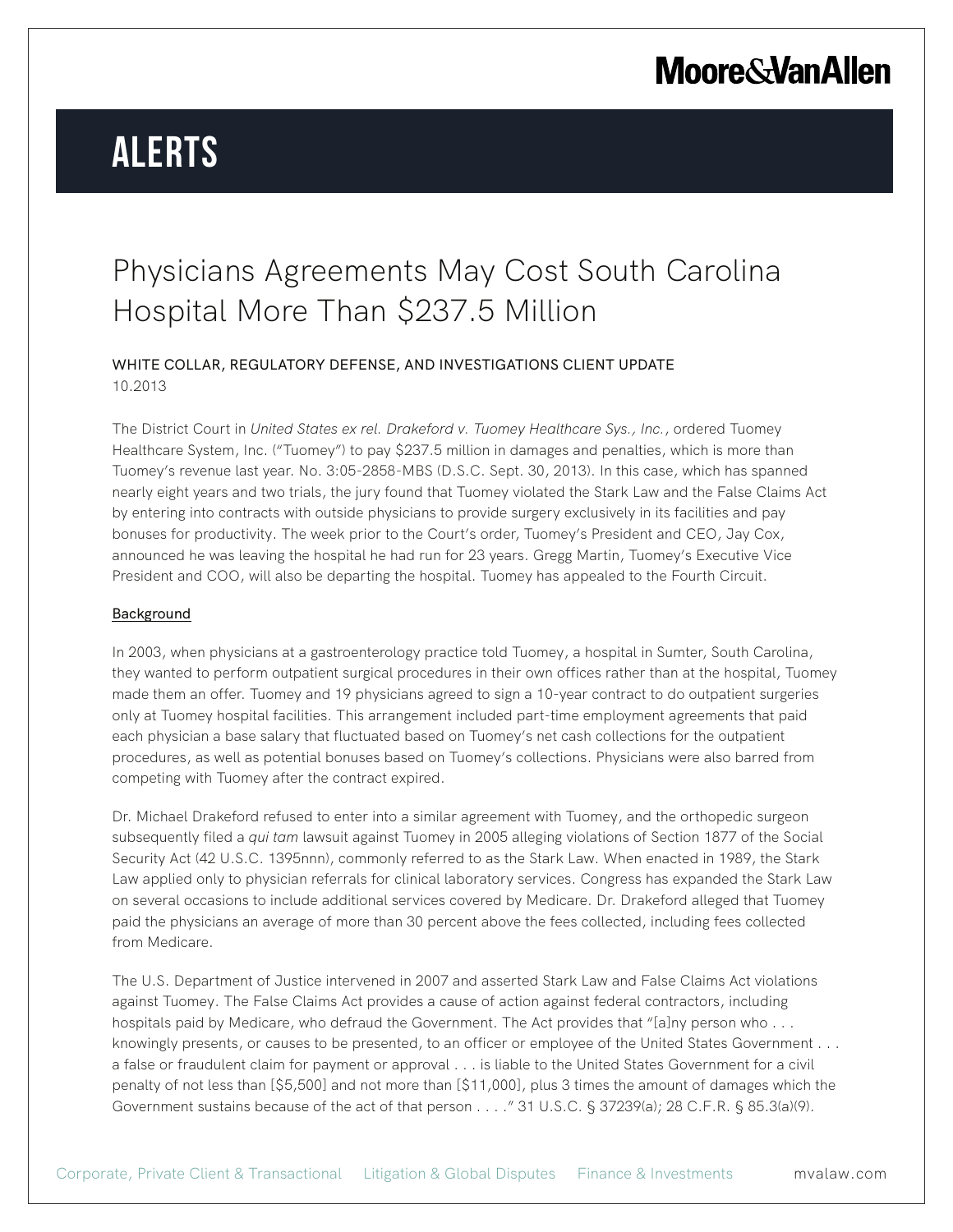# **Alerts**

### Physicians Agreements May Cost South Carolina Hospital More Than \$237.5 Million

WHITE COLLAR, REGULATORY DEFENSE, AND INVESTIGATIONS CLIENT UPDATE 10.2013

The District Court in *United States ex rel. Drakeford v. Tuomey Healthcare Sys., Inc.*, ordered Tuomey Healthcare System, Inc. ("Tuomey") to pay \$237.5 million in damages and penalties, which is more than Tuomey's revenue last year. No. 3:05-2858-MBS (D.S.C. Sept. 30, 2013). In this case, which has spanned nearly eight years and two trials, the jury found that Tuomey violated the Stark Law and the False Claims Act by entering into contracts with outside physicians to provide surgery exclusively in its facilities and pay bonuses for productivity. The week prior to the Court's order, Tuomey's President and CEO, Jay Cox, announced he was leaving the hospital he had run for 23 years. Gregg Martin, Tuomey's Executive Vice President and COO, will also be departing the hospital. Tuomey has appealed to the Fourth Circuit.

#### Background

In 2003, when physicians at a gastroenterology practice told Tuomey, a hospital in Sumter, South Carolina, they wanted to perform outpatient surgical procedures in their own offices rather than at the hospital, Tuomey made them an offer. Tuomey and 19 physicians agreed to sign a 10-year contract to do outpatient surgeries only at Tuomey hospital facilities. This arrangement included part-time employment agreements that paid each physician a base salary that fluctuated based on Tuomey's net cash collections for the outpatient procedures, as well as potential bonuses based on Tuomey's collections. Physicians were also barred from competing with Tuomey after the contract expired.

Dr. Michael Drakeford refused to enter into a similar agreement with Tuomey, and the orthopedic surgeon subsequently filed a *qui tam* lawsuit against Tuomey in 2005 alleging violations of Section 1877 of the Social Security Act (42 U.S.C. 1395nnn), commonly referred to as the Stark Law. When enacted in 1989, the Stark Law applied only to physician referrals for clinical laboratory services. Congress has expanded the Stark Law on several occasions to include additional services covered by Medicare. Dr. Drakeford alleged that Tuomey paid the physicians an average of more than 30 percent above the fees collected, including fees collected from Medicare.

The U.S. Department of Justice intervened in 2007 and asserted Stark Law and False Claims Act violations against Tuomey. The False Claims Act provides a cause of action against federal contractors, including hospitals paid by Medicare, who defraud the Government. The Act provides that "[a]ny person who . . . knowingly presents, or causes to be presented, to an officer or employee of the United States Government . . . a false or fraudulent claim for payment or approval . . . is liable to the United States Government for a civil penalty of not less than [\$5,500] and not more than [\$11,000], plus 3 times the amount of damages which the Government sustains because of the act of that person . . . . " 31 U.S.C. § 37239(a); 28 C.F.R. § 85.3(a)(9).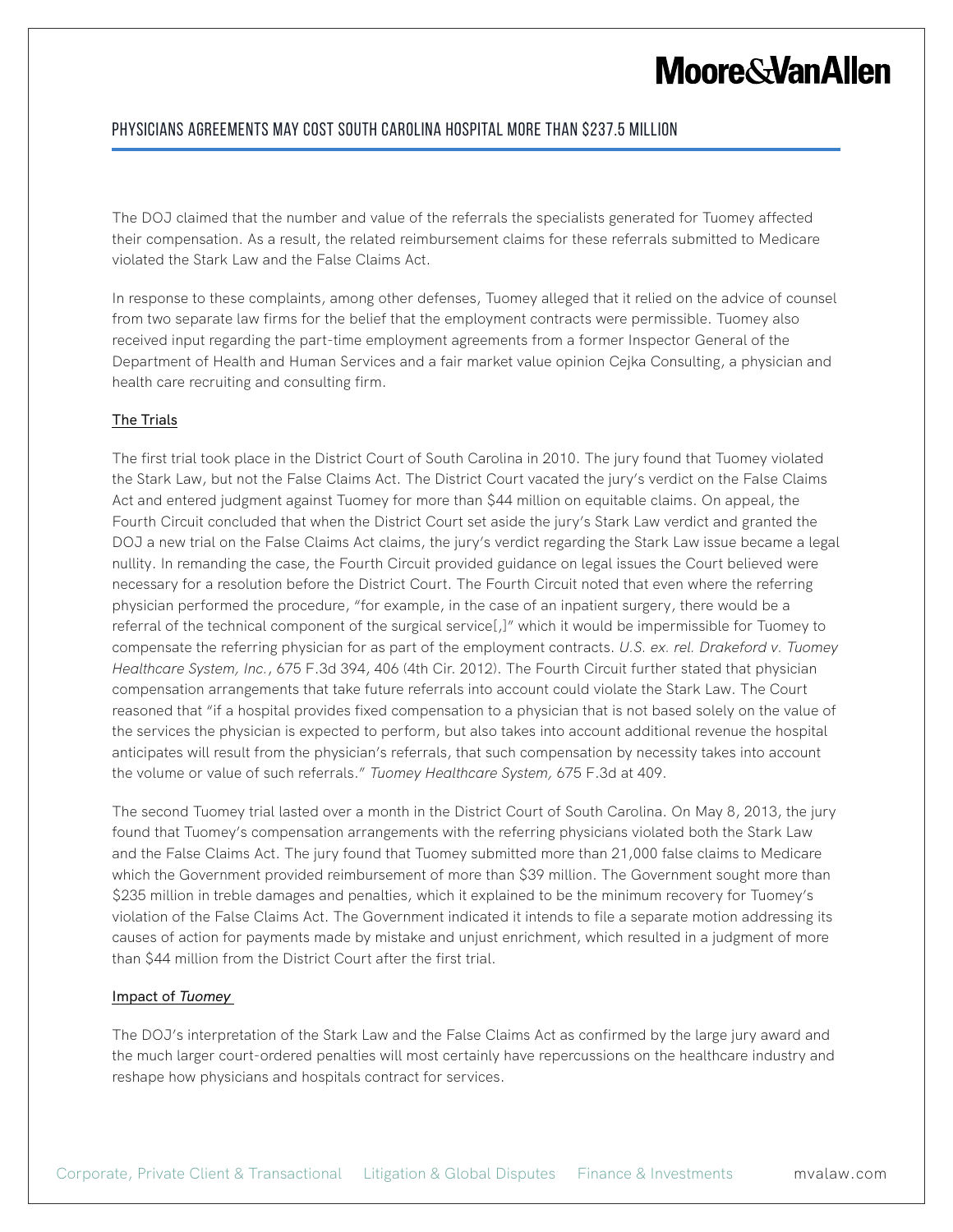## **Moore & Van Allen**

#### Physicians Agreements May Cost South Carolina Hospital More Than \$237.5 Million

The DOJ claimed that the number and value of the referrals the specialists generated for Tuomey affected their compensation. As a result, the related reimbursement claims for these referrals submitted to Medicare violated the Stark Law and the False Claims Act.

In response to these complaints, among other defenses, Tuomey alleged that it relied on the advice of counsel from two separate law firms for the belief that the employment contracts were permissible. Tuomey also received input regarding the part-time employment agreements from a former Inspector General of the Department of Health and Human Services and a fair market value opinion Cejka Consulting, a physician and health care recruiting and consulting firm.

#### The Trials

The first trial took place in the District Court of South Carolina in 2010. The jury found that Tuomey violated the Stark Law, but not the False Claims Act. The District Court vacated the jury's verdict on the False Claims Act and entered judgment against Tuomey for more than \$44 million on equitable claims. On appeal, the Fourth Circuit concluded that when the District Court set aside the jury's Stark Law verdict and granted the DOJ a new trial on the False Claims Act claims, the jury's verdict regarding the Stark Law issue became a legal nullity. In remanding the case, the Fourth Circuit provided guidance on legal issues the Court believed were necessary for a resolution before the District Court. The Fourth Circuit noted that even where the referring physician performed the procedure, "for example, in the case of an inpatient surgery, there would be a referral of the technical component of the surgical service[,]" which it would be impermissible for Tuomey to compensate the referring physician for as part of the employment contracts. *U.S. ex. rel. Drakeford v. Tuomey Healthcare System, Inc.*, 675 F.3d 394, 406 (4th Cir. 2012). The Fourth Circuit further stated that physician compensation arrangements that take future referrals into account could violate the Stark Law. The Court reasoned that "if a hospital provides fixed compensation to a physician that is not based solely on the value of the services the physician is expected to perform, but also takes into account additional revenue the hospital anticipates will result from the physician's referrals, that such compensation by necessity takes into account the volume or value of such referrals." *Tuomey Healthcare System,* 675 F.3d at 409.

The second Tuomey trial lasted over a month in the District Court of South Carolina. On May 8, 2013, the jury found that Tuomey's compensation arrangements with the referring physicians violated both the Stark Law and the False Claims Act. The jury found that Tuomey submitted more than 21,000 false claims to Medicare which the Government provided reimbursement of more than \$39 million. The Government sought more than \$235 million in treble damages and penalties, which it explained to be the minimum recovery for Tuomey's violation of the False Claims Act. The Government indicated it intends to file a separate motion addressing its causes of action for payments made by mistake and unjust enrichment, which resulted in a judgment of more than \$44 million from the District Court after the first trial.

#### Impact of *Tuomey*

The DOJ's interpretation of the Stark Law and the False Claims Act as confirmed by the large jury award and the much larger court-ordered penalties will most certainly have repercussions on the healthcare industry and reshape how physicians and hospitals contract for services.